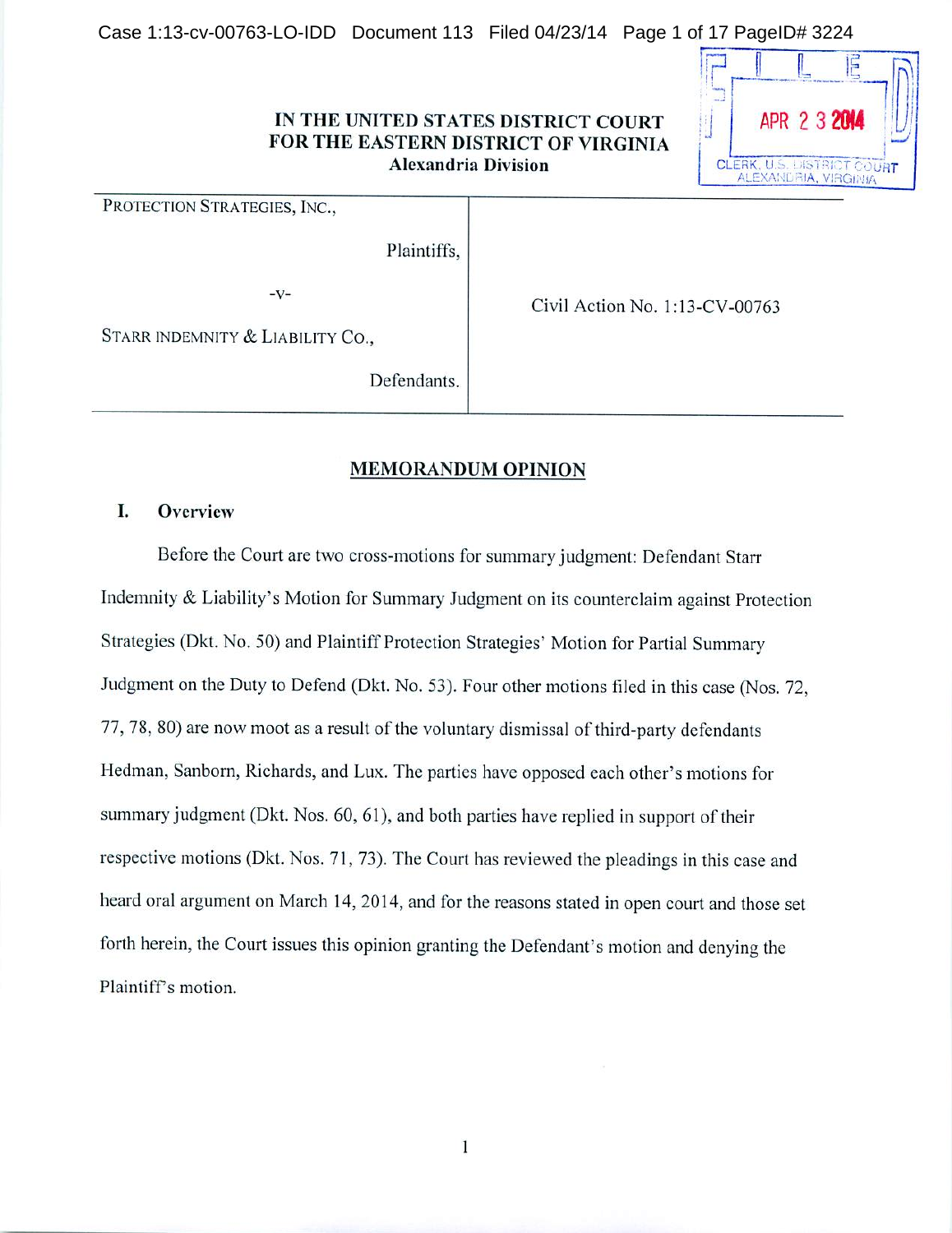Case 1:13-cv-00763-LO-IDD Document 113 Filed 04/23/14 Page 1 of 17 PageID# 3224

## IN THE UNITED STATES DISTRICT COURT FOR THE EASTERN DISTRICT OF VIRGINIA **Alexandria Division**



PROTECTION STRATEGIES, INC.,

Plaintiffs,

 $-V-$ 

Civil Action No. 1:13-CV-00763

STARR INDEMNITY & LIABILITY CO.,

Defendants.

## **MEMORANDUM OPINION**

### Ι. Overview

Before the Court are two cross-motions for summary judgment: Defendant Starr Indemnity & Liability's Motion for Summary Judgment on its counterclaim against Protection Strategies (Dkt. No. 50) and Plaintiff Protection Strategies' Motion for Partial Summary Judgment on the Duty to Defend (Dkt. No. 53). Four other motions filed in this case (Nos. 72. 77.78, 80) are now moot as a result of the voluntary dismissal of third-party defendants Hedman, Sanborn, Richards, and Lux. The parties have opposed each other's motions for summary judgment (Dkt. Nos. 60, 61), and both parties have replied in support of their respective motions (Dkt. Nos. 71, 73). The Court has reviewed the pleadings in this case and heard oral argument on March 14, 2014, and for the reasons stated in open court and those set forth herein, the Court issues this opinion granting the Defendant's motion and denying the Plaintiff's motion.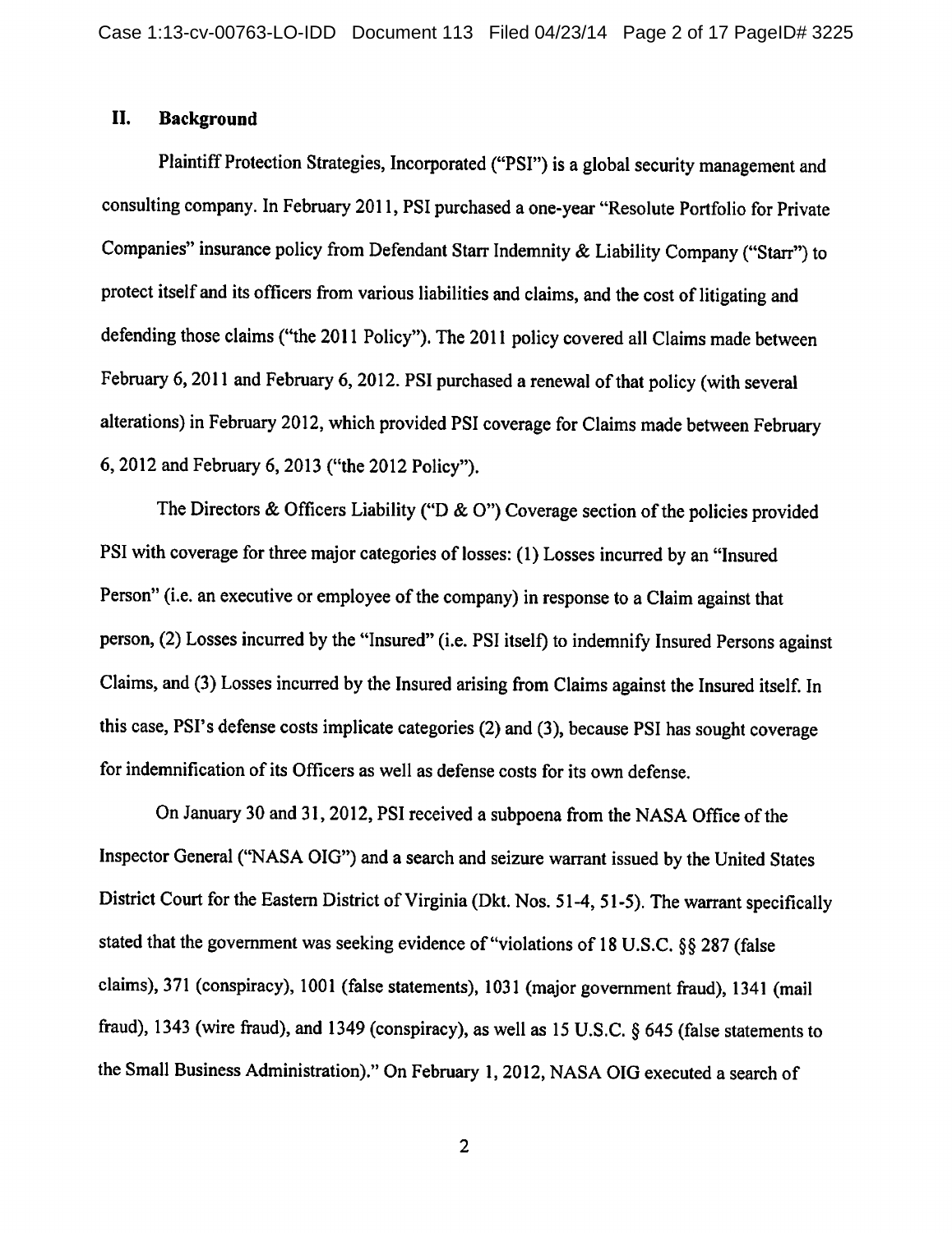#### II. **Background**

Plaintiff Protection Strategies, Incorporated ("PSI") is a global security management and consulting company. In February 2011, PSI purchased a one-year "Resolute Portfolio for Private Companies" insurance policy from Defendant Starr Indemnity & Liability Company ("Starr") to protect itself and its officers from various liabilities and claims, and the cost of litigating and defending those claims ("the 2011 Policy"). The 2011 policy covered all Claims made between February 6, 2011 and February 6, 2012. PSI purchased a renewal of that policy (with several alterations) in February 2012, which provided PSI coverage for Claims made between February 6, 2012 and February 6, 2013 ("the 2012 Policy").

The Directors & Officers Liability ("D & O") Coverage section of the policies provided PSI with coverage for three major categories of losses: (1) Losses incurred by an "Insured Person" (i.e. an executive or employee of the company) in response to a Claim against that person, (2) Losses incurred by the "Insured" (i.e. PSI itself) to indemnify Insured Persons against Claims, and (3) Losses incurred by the Insured arising from Claims against the Insured itself. In this case, PSI's defense costs implicate categories (2) and (3), because PSI has sought coverage for indemnification of its Officers as well as defense costs for its own defense.

On January 30 and 31, 2012, PSI received a subpoena from the NASA Office of the Inspector General ("NASA OIG") and a search and seizure warrant issued by the United States District Court for the Eastern District of Virginia (Dkt. Nos. 51-4, 51-5). The warrant specifically stated that the government was seeking evidence of "violations of 18 U.S.C. §§ 287 (false claims), 371 (conspiracy), 1001 (false statements), 1031 (major government fraud), 1341 (mail fraud), 1343 (wire fraud), and 1349 (conspiracy), as well as 15 U.S.C.  $\S$  645 (false statements to the Small Business Administration)." On February 1, 2012, NASA OIG executed a search of

 $\overline{2}$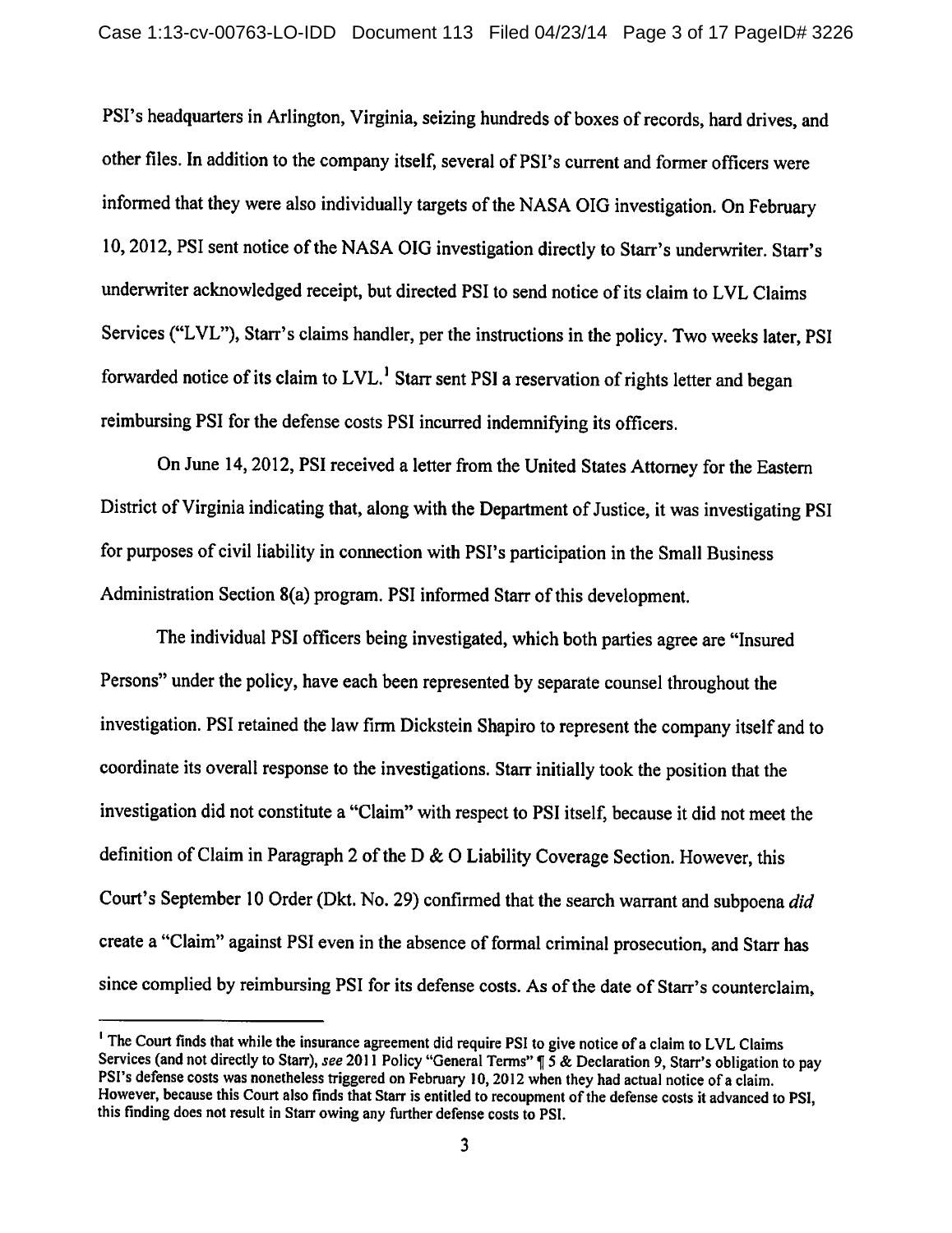PSI's headquarters in Arlington, Virginia, seizing hundreds of boxes of records, hard drives, and other files. In addition to the company itself, several of PSI's current and former officers were informed that they were also individually targets of the NASA OIG investigation. On February 10, 2012, PSI sent notice of the NASA OIG investigation directly to Starr's underwriter. Starr's underwriter acknowledged receipt, but directed PSI to send notice of its claim to LVL Claims Services ("LVL"), Starr's claims handler, per the instructions in the policy. Two weeks later, PSI forwarded notice of its claim to LVL.<sup>1</sup> Starr sent PSI a reservation of rights letter and began reimbursing PSI for the defense costs PSI incurred indemnifying its officers.

On June 14, 2012, PSI received a letter from the United States Attorney for the Eastern District of Virginia indicating that, along with the Department of Justice, it was investigating PSI for purposes of civil liability in connection with PSI's participation in the Small Business Administration Section 8(a) program. PSI informed Starr of this development.

The individual PSI officers being investigated, which both parties agree are "Insured Persons" under the policy, have each been represented by separate counsel throughout the investigation. PSI retained the law firm Dickstein Shapiro to represent the company itself and to coordinate its overall response to the investigations. Starr initially took the position that the investigation did not constitute a "Claim" with respect to PSI itself, because it did not meet the definition of Claim in Paragraph 2 of the D & O Liability Coverage Section. However, this Court's September 10 Order (Dkt. No. 29) confirmed that the search warrant and subpoena did create a "Claim" against PSI even in the absence of formal criminal prosecution, and Starr has since complied by reimbursing PSI for its defense costs. As of the date of Starr's counterclaim,

<sup>&</sup>lt;sup>1</sup> The Court finds that while the insurance agreement did require PSI to give notice of a claim to LVL Claims Services (and not directly to Starr), see 2011 Policy "General Terms"  $\sqrt{9}$  5 & Declaration 9, Starr's obligation to pay PSI's defense costs was nonetheless triggered on February 10, 2012 when they had actual notice of a claim. However, because this Court also finds that Starr is entitled to recoupment of the defense costs it advanced to PSI. this finding does not result in Starr owing any further defense costs to PSI.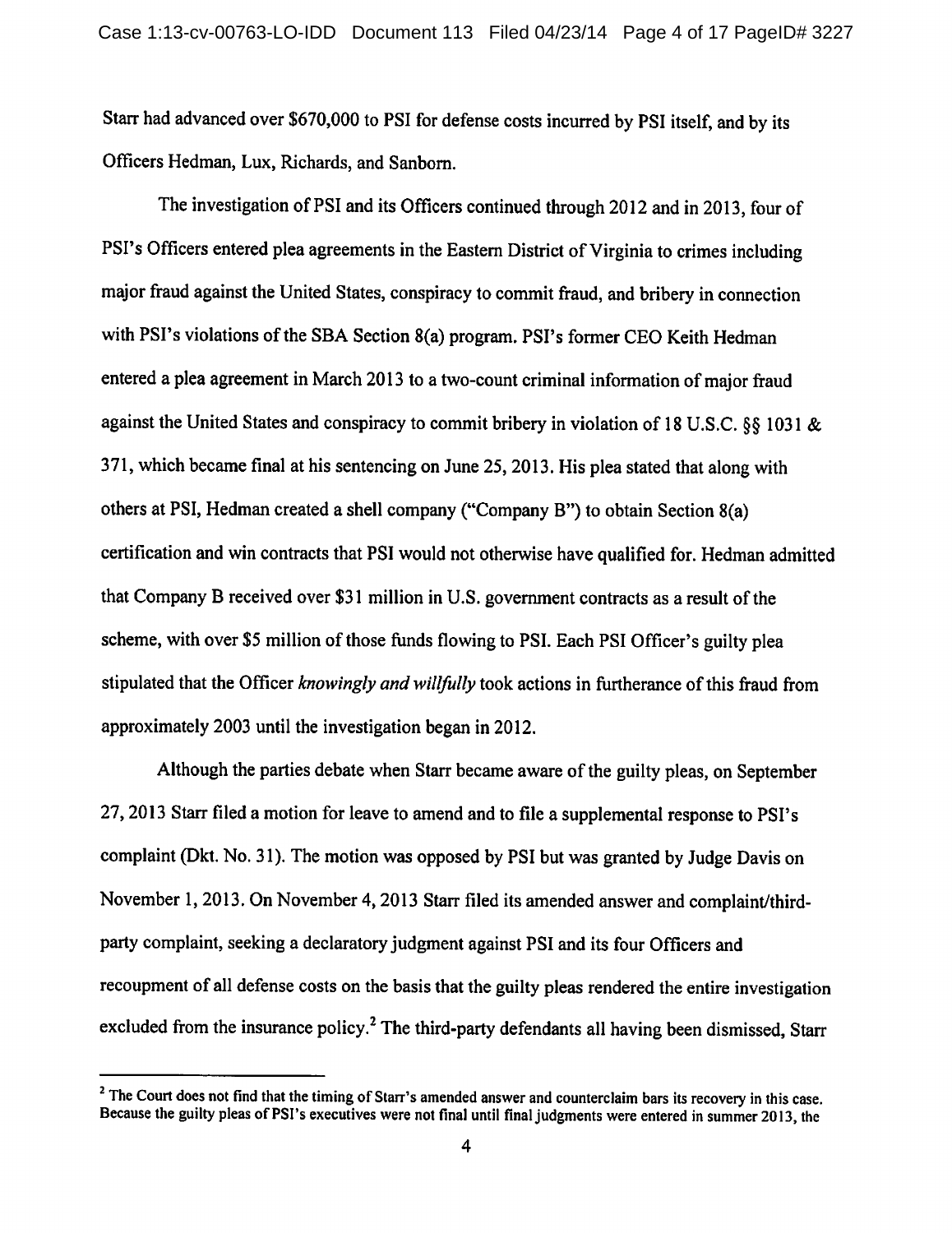Starr had advanced over \$670,000 to PSI for defense costs incurred by PSI itself, and by its Officers Hedman, Lux, Richards, and Sanborn.

The investigation of PSI and its Officers continued through 2012 and in 2013, four of PSI's Officers entered plea agreements in the Eastern District of Virginia to crimes including maior fraud against the United States, conspiracy to commit fraud, and bribery in connection with PSI's violations of the SBA Section 8(a) program. PSI's former CEO Keith Hedman entered a plea agreement in March 2013 to a two-count criminal information of major fraud against the United States and conspiracy to commit bribery in violation of 18 U.S.C. §§ 1031 & 371, which became final at his sentencing on June 25, 2013. His plea stated that along with others at PSI, Hedman created a shell company ("Company B") to obtain Section 8(a) certification and win contracts that PSI would not otherwise have qualified for. Hedman admitted that Company B received over \$31 million in U.S. government contracts as a result of the scheme, with over \$5 million of those funds flowing to PSI. Each PSI Officer's guilty plea stipulated that the Officer knowingly and willfully took actions in furtherance of this fraud from approximately 2003 until the investigation began in 2012.

Although the parties debate when Starr became aware of the guilty pleas, on September 27, 2013 Starr filed a motion for leave to amend and to file a supplemental response to PSI's complaint (Dkt. No. 31). The motion was opposed by PSI but was granted by Judge Davis on November 1, 2013. On November 4, 2013 Starr filed its amended answer and complaint/thirdparty complaint, seeking a declaratory judgment against PSI and its four Officers and recoupment of all defense costs on the basis that the guilty pleas rendered the entire investigation excluded from the insurance policy.<sup>2</sup> The third-party defendants all having been dismissed, Starr

<sup>&</sup>lt;sup>2</sup> The Court does not find that the timing of Starr's amended answer and counterclaim bars its recovery in this case. Because the guilty pleas of PSI's executives were not final until final judgments were entered in summer 2013, the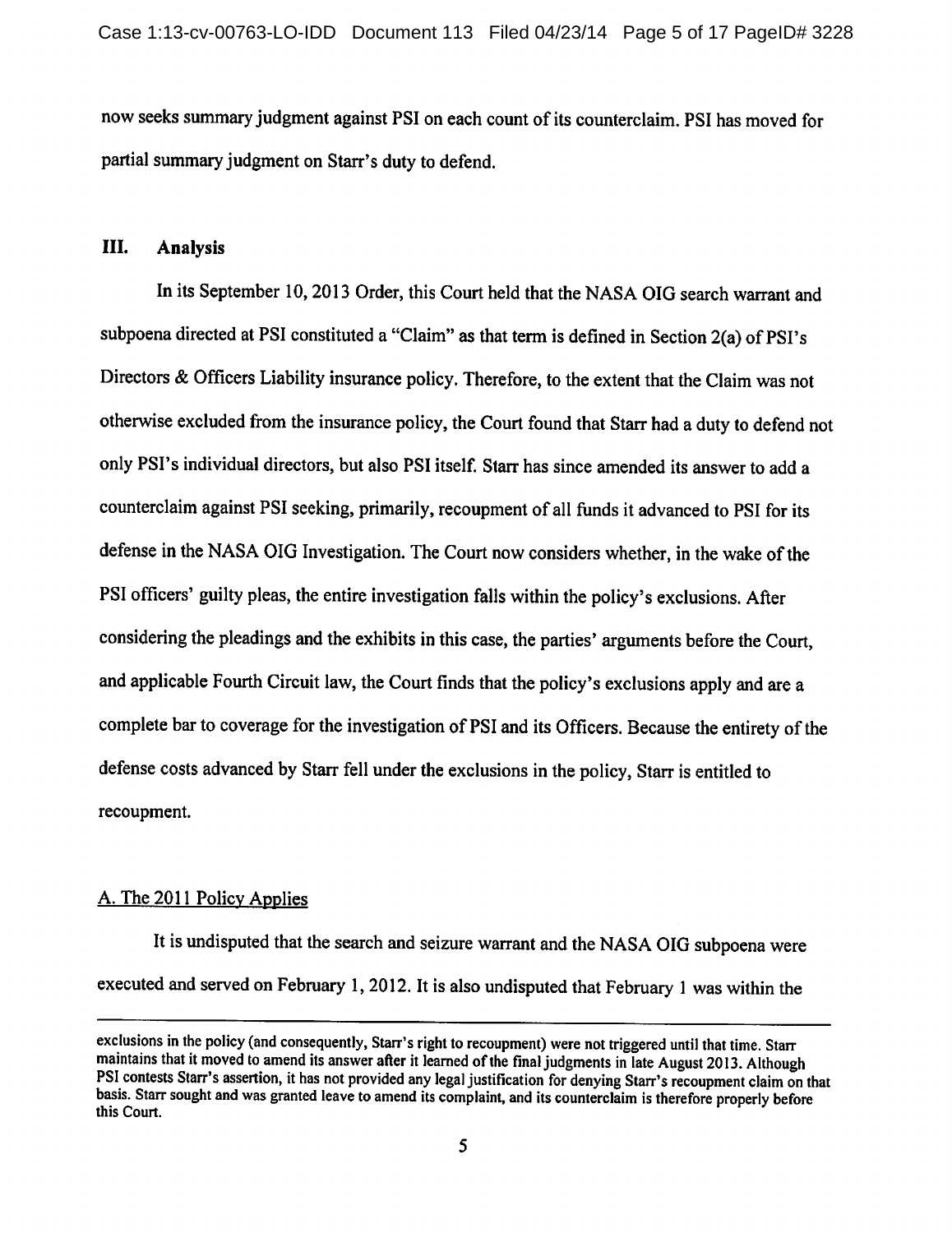now seeks summary judgment against PSI on each count of its counterclaim. PSI has moved for partial summary judgment on Starr's duty to defend.

#### III. **Analysis**

In its September 10, 2013 Order, this Court held that the NASA OIG search warrant and subpoena directed at PSI constituted a "Claim" as that term is defined in Section 2(a) of PSI's Directors & Officers Liability insurance policy. Therefore, to the extent that the Claim was not otherwise excluded from the insurance policy, the Court found that Starr had a duty to defend not only PSI's individual directors, but also PSI itself. Starr has since amended its answer to add a counterclaim against PSI seeking, primarily, recoupment of all funds it advanced to PSI for its defense in the NASA OIG Investigation. The Court now considers whether, in the wake of the PSI officers' guilty pleas, the entire investigation falls within the policy's exclusions. After considering the pleadings and the exhibits in this case, the parties' arguments before the Court, and applicable Fourth Circuit law, the Court finds that the policy's exclusions apply and are a complete bar to coverage for the investigation of PSI and its Officers. Because the entirety of the defense costs advanced by Starr fell under the exclusions in the policy, Starr is entitled to recoupment.

## A. The 2011 Policy Applies

It is undisputed that the search and seizure warrant and the NASA OIG subpoena were executed and served on February 1, 2012. It is also undisputed that February 1 was within the

exclusions in the policy (and consequently, Starr's right to recoupment) were not triggered until that time. Starr maintains that it moved to amend its answer after it learned of the final judgments in late August 2013. Although PSI contests Starr's assertion, it has not provided any legal justification for denying Starr's recoupment claim on that basis. Starr sought and was granted leave to amend its complaint, and its counterclaim is therefore properly before this Court.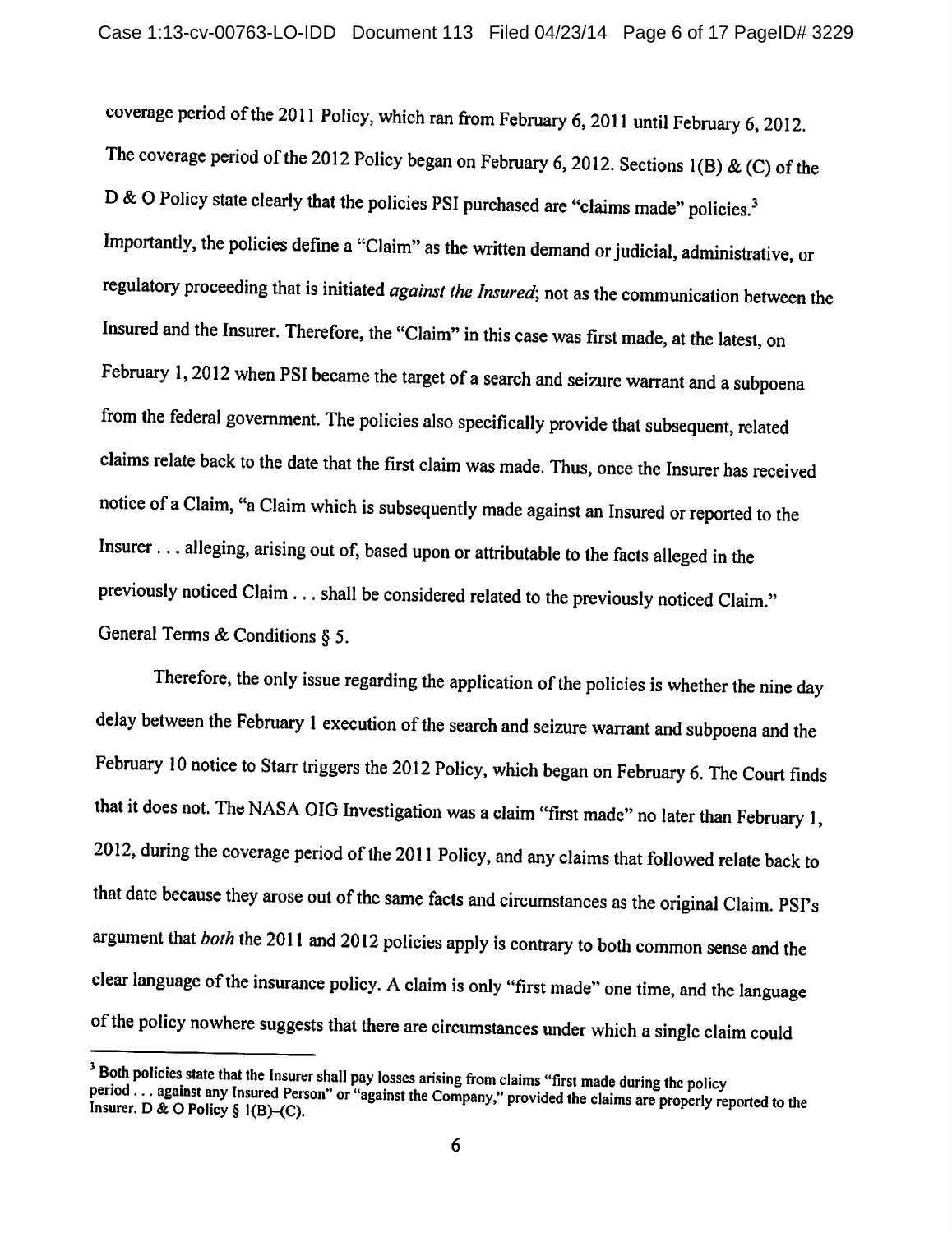coverage period of the 2011 Policy, which ran from February 6, 2011 until February 6, 2012. The coverage period of the 2012 Policy began on February 6, 2012. Sections  $1(B) \& (C)$  of the D & O Policy state clearly that the policies PSI purchased are "claims made" policies.<sup>3</sup> Importantly, the policies define a "Claim" as the written demand or judicial, administrative, or regulatory proceeding that is initiated against the Insured; not as the communication between the Insured and the Insurer. Therefore, the "Claim" in this case was first made, at the latest, on February 1, 2012 when PSI became the target of a search and seizure warrant and a subpoena from the federal government. The policies also specifically provide that subsequent, related claims relate back to the date that the first claim was made. Thus, once the Insurer has received notice of a Claim, "a Claim which is subsequently made against an Insured or reported to the Insurer . . . alleging, arising out of, based upon or attributable to the facts alleged in the previously noticed Claim . . . shall be considered related to the previously noticed Claim." General Terms & Conditions  $\S$  5.

Therefore, the only issue regarding the application of the policies is whether the nine day delay between the February 1 execution of the search and seizure warrant and subpoena and the February 10 notice to Starr triggers the 2012 Policy, which began on February 6. The Court finds that it does not. The NASA OIG Investigation was a claim "first made" no later than February 1, 2012, during the coverage period of the 2011 Policy, and any claims that followed relate back to that date because they arose out of the same facts and circumstances as the original Claim. PSI's argument that both the 2011 and 2012 policies apply is contrary to both common sense and the clear language of the insurance policy. A claim is only "first made" one time, and the language of the policy nowhere suggests that there are circumstances under which a single claim could

<sup>&</sup>lt;sup>3</sup> Both policies state that the Insurer shall pay losses arising from claims "first made during the policy period ... against any Insured Person" or "against the Company," provided the claims are properly reported to the Insurer. D & O Policy § 1(B)-(C).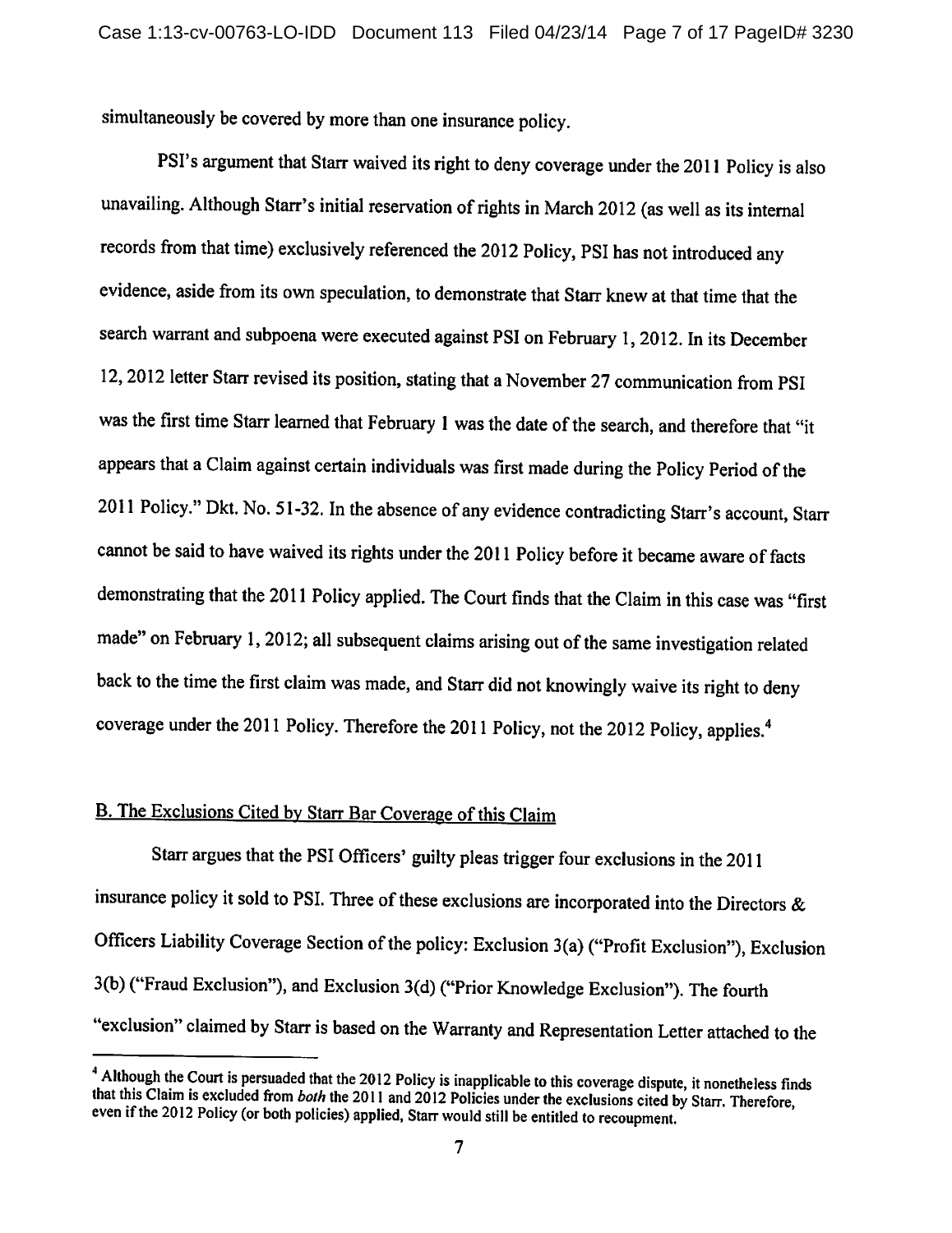simultaneously be covered by more than one insurance policy.

PSI's argument that Starr waived its right to deny coverage under the 2011 Policy is also unavailing. Although Starr's initial reservation of rights in March 2012 (as well as its internal records from that time) exclusively referenced the 2012 Policy, PSI has not introduced any evidence, aside from its own speculation, to demonstrate that Starr knew at that time that the search warrant and subpoena were executed against PSI on February 1, 2012. In its December 12, 2012 letter Starr revised its position, stating that a November 27 communication from PSI was the first time Starr learned that February 1 was the date of the search, and therefore that "it appears that a Claim against certain individuals was first made during the Policy Period of the 2011 Policy." Dkt. No. 51-32. In the absence of any evidence contradicting Starr's account, Starr cannot be said to have waived its rights under the 2011 Policy before it became aware of facts demonstrating that the 2011 Policy applied. The Court finds that the Claim in this case was "first made" on February 1, 2012; all subsequent claims arising out of the same investigation related back to the time the first claim was made, and Starr did not knowingly waive its right to deny coverage under the 2011 Policy. Therefore the 2011 Policy, not the 2012 Policy, applies.<sup>4</sup>

## B. The Exclusions Cited by Starr Bar Coverage of this Claim

Starr argues that the PSI Officers' guilty pleas trigger four exclusions in the 2011 insurance policy it sold to PSI. Three of these exclusions are incorporated into the Directors  $\&$ Officers Liability Coverage Section of the policy: Exclusion 3(a) ("Profit Exclusion"), Exclusion 3(b) ("Fraud Exclusion"), and Exclusion 3(d) ("Prior Knowledge Exclusion"). The fourth "exclusion" claimed by Starr is based on the Warranty and Representation Letter attached to the

<sup>&</sup>lt;sup>4</sup> Although the Court is persuaded that the 2012 Policy is inapplicable to this coverage dispute, it nonetheless finds that this Claim is excluded from both the 2011 and 2012 Policies under the exclusions cited by Starr. Therefore, even if the 2012 Policy (or both policies) applied. Starr would still be entitled to recoupment.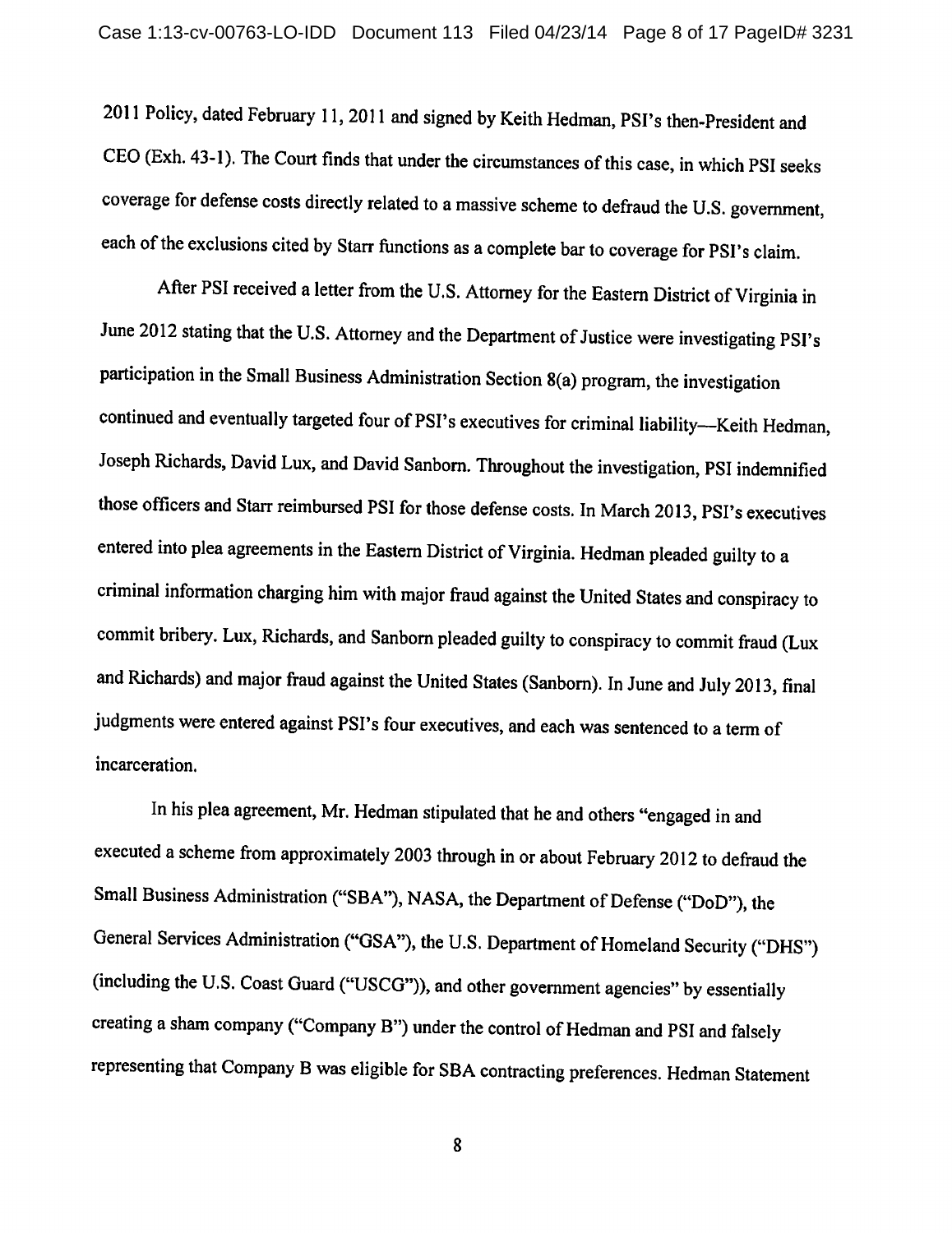2011 Policy, dated February 11, 2011 and signed by Keith Hedman, PSI's then-President and CEO (Exh. 43-1). The Court finds that under the circumstances of this case, in which PSI seeks coverage for defense costs directly related to a massive scheme to defraud the U.S. government, each of the exclusions cited by Starr functions as a complete bar to coverage for PSI's claim.

After PSI received a letter from the U.S. Attorney for the Eastern District of Virginia in June 2012 stating that the U.S. Attorney and the Department of Justice were investigating PSI's participation in the Small Business Administration Section 8(a) program, the investigation continued and eventually targeted four of PSI's executives for criminal liability-Keith Hedman, Joseph Richards, David Lux, and David Sanborn. Throughout the investigation, PSI indemnified those officers and Starr reimbursed PSI for those defense costs. In March 2013, PSI's executives entered into plea agreements in the Eastern District of Virginia. Hedman pleaded guilty to a criminal information charging him with major fraud against the United States and conspiracy to commit bribery. Lux, Richards, and Sanborn pleaded guilty to conspiracy to commit fraud (Lux and Richards) and major fraud against the United States (Sanborn). In June and July 2013, final judgments were entered against PSI's four executives, and each was sentenced to a term of incarceration.

In his plea agreement, Mr. Hedman stipulated that he and others "engaged in and executed a scheme from approximately 2003 through in or about February 2012 to defraud the Small Business Administration ("SBA"), NASA, the Department of Defense ("DoD"), the General Services Administration ("GSA"), the U.S. Department of Homeland Security ("DHS") (including the U.S. Coast Guard ("USCG")), and other government agencies" by essentially creating a sham company ("Company B") under the control of Hedman and PSI and falsely representing that Company B was eligible for SBA contracting preferences. Hedman Statement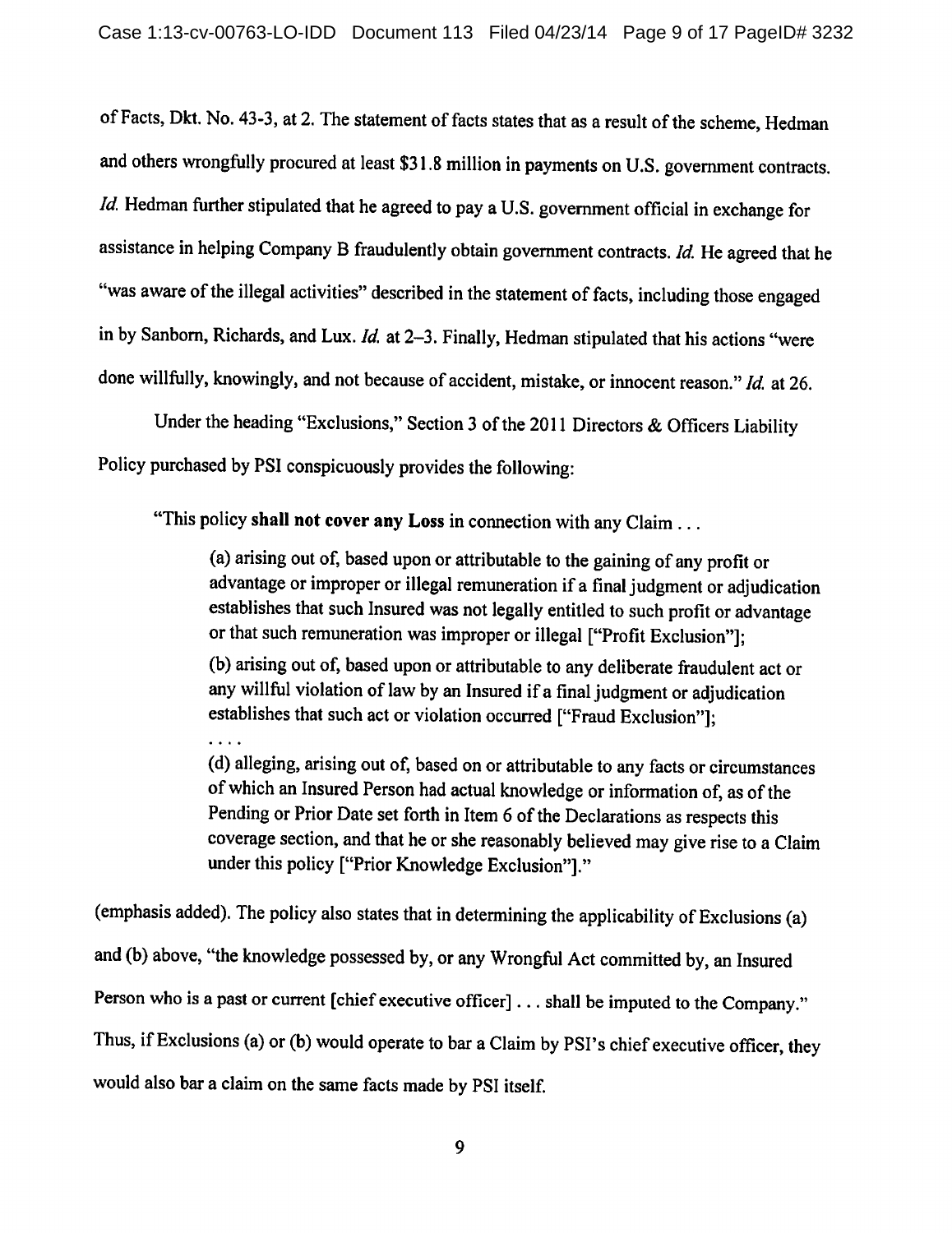of Facts, Dkt. No. 43-3, at 2. The statement of facts states that as a result of the scheme, Hedman and others wrongfully procured at least \$31.8 million in payments on U.S. government contracts. *Id.* Hedman further stipulated that he agreed to pay a U.S. government official in exchange for assistance in helping Company B fraudulently obtain government contracts. Id. He agreed that he "was aware of the illegal activities" described in the statement of facts, including those engaged in by Sanborn, Richards, and Lux.  $Id$ . at 2-3. Finally, Hedman stipulated that his actions "were done willfully, knowingly, and not because of accident, mistake, or innocent reason." Id. at 26.

Under the heading "Exclusions," Section 3 of the 2011 Directors & Officers Liability Policy purchased by PSI conspicuously provides the following:

"This policy shall not cover any Loss in connection with any Claim ...

(a) arising out of, based upon or attributable to the gaining of any profit or advantage or improper or illegal remuneration if a final judgment or adjudication establishes that such Insured was not legally entitled to such profit or advantage or that such remuneration was improper or illegal ["Profit Exclusion"];

(b) arising out of, based upon or attributable to any deliberate fraudulent act or any willful violation of law by an Insured if a final judgment or adjudication establishes that such act or violation occurred ["Fraud Exclusion"];

(d) alleging, arising out of, based on or attributable to any facts or circumstances of which an Insured Person had actual knowledge or information of, as of the Pending or Prior Date set forth in Item 6 of the Declarations as respects this coverage section, and that he or she reasonably believed may give rise to a Claim under this policy ["Prior Knowledge Exclusion"]."

(emphasis added). The policy also states that in determining the applicability of Exclusions (a) and (b) above, "the knowledge possessed by, or any Wrongful Act committed by, an Insured Person who is a past or current [chief executive officer] . . . shall be imputed to the Company." Thus, if Exclusions (a) or (b) would operate to bar a Claim by PSI's chief executive officer, they would also bar a claim on the same facts made by PSI itself.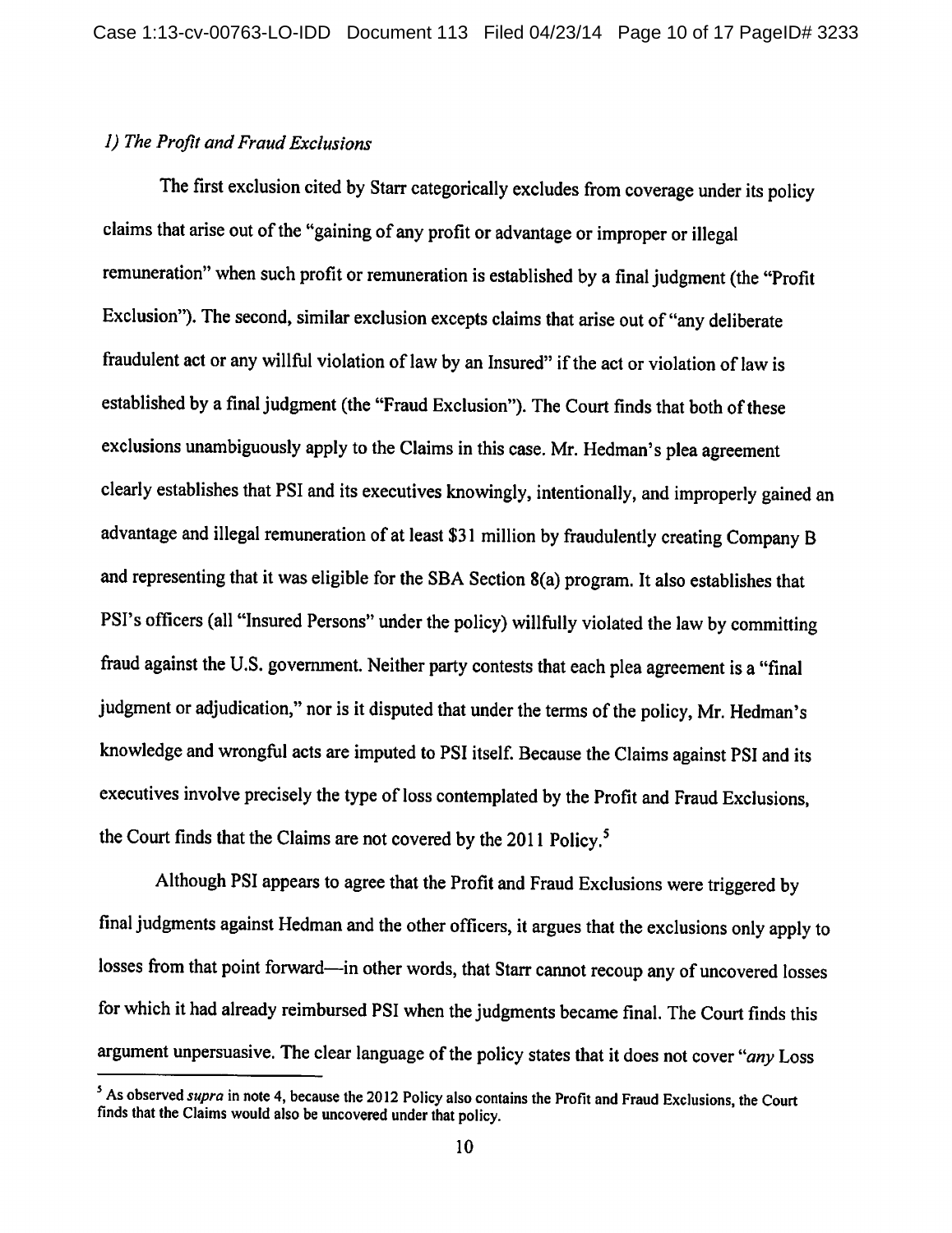## 1) The Profit and Fraud Exclusions

The first exclusion cited by Starr categorically excludes from coverage under its policy claims that arise out of the "gaining of any profit or advantage or improper or illegal remuneration" when such profit or remuneration is established by a final judgment (the "Profit Exclusion"). The second, similar exclusion excepts claims that arise out of "any deliberate fraudulent act or any willful violation of law by an Insured" if the act or violation of law is established by a final judgment (the "Fraud Exclusion"). The Court finds that both of these exclusions unambiguously apply to the Claims in this case. Mr. Hedman's plea agreement clearly establishes that PSI and its executives knowingly, intentionally, and improperly gained an advantage and illegal remuneration of at least \$31 million by fraudulently creating Company B and representing that it was eligible for the SBA Section 8(a) program. It also establishes that PSI's officers (all "Insured Persons" under the policy) willfully violated the law by committing fraud against the U.S. government. Neither party contests that each plea agreement is a "final judgment or adjudication," nor is it disputed that under the terms of the policy, Mr. Hedman's knowledge and wrongful acts are imputed to PSI itself. Because the Claims against PSI and its executives involve precisely the type of loss contemplated by the Profit and Fraud Exclusions, the Court finds that the Claims are not covered by the 2011 Policy.<sup>5</sup>

Although PSI appears to agree that the Profit and Fraud Exclusions were triggered by final judgments against Hedman and the other officers, it argues that the exclusions only apply to losses from that point forward—in other words, that Starr cannot recoup any of uncovered losses for which it had already reimbursed PSI when the judgments became final. The Court finds this argument unpersuasive. The clear language of the policy states that it does not cover "any Loss"

<sup>&</sup>lt;sup>5</sup> As observed *supra* in note 4, because the 2012 Policy also contains the Profit and Fraud Exclusions, the Court finds that the Claims would also be uncovered under that policy.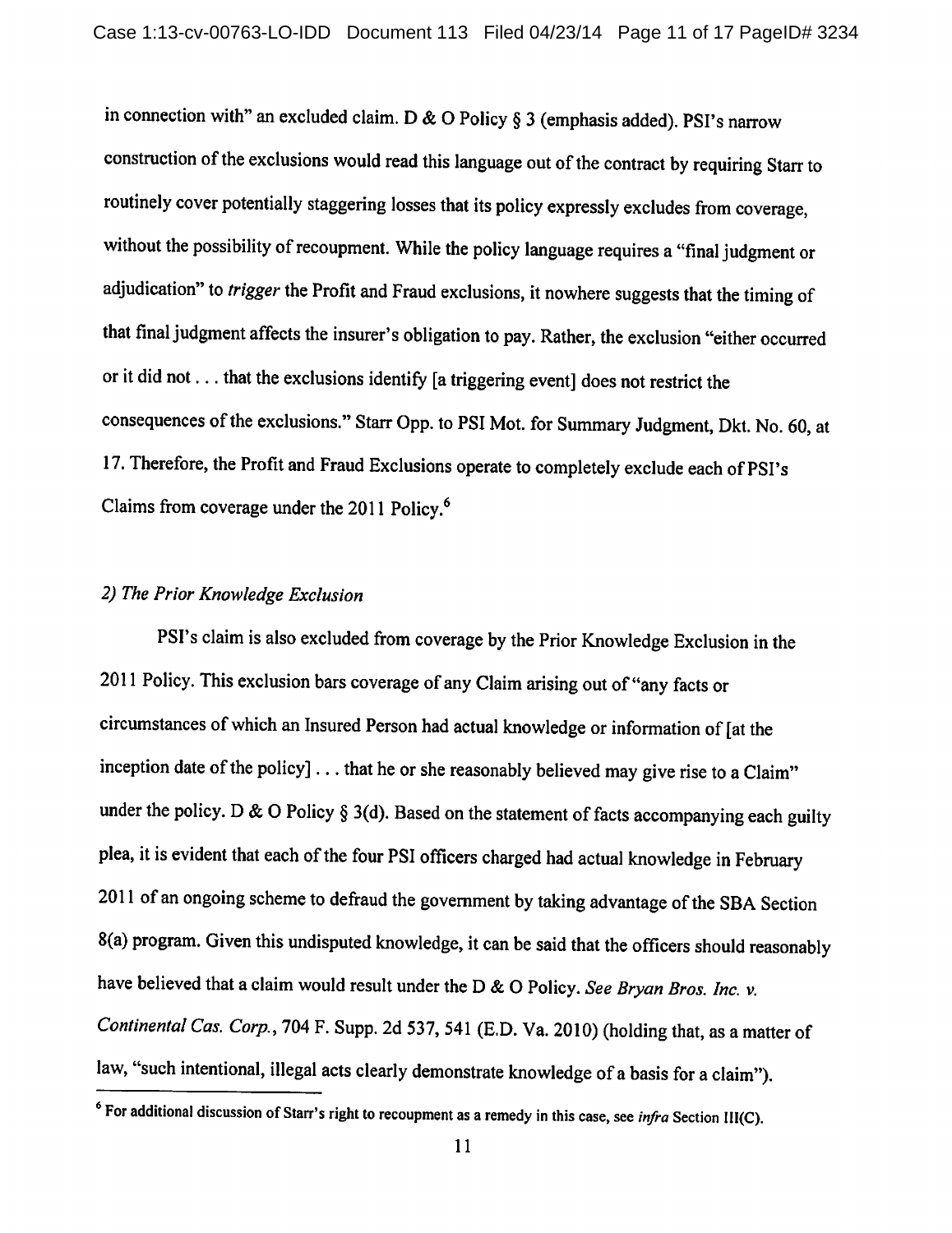in connection with" an excluded claim. D & O Policy § 3 (emphasis added). PSI's narrow construction of the exclusions would read this language out of the contract by requiring Starr to routinely cover potentially staggering losses that its policy expressly excludes from coverage, without the possibility of recoupment. While the policy language requires a "final judgment or adjudication" to trigger the Profit and Fraud exclusions, it nowhere suggests that the timing of that final judgment affects the insurer's obligation to pay. Rather, the exclusion "either occurred or it did not . . . that the exclusions identify [a triggering event] does not restrict the consequences of the exclusions." Starr Opp. to PSI Mot. for Summary Judgment, Dkt. No. 60, at 17. Therefore, the Profit and Fraud Exclusions operate to completely exclude each of PSI's Claims from coverage under the 2011 Policy.<sup>6</sup>

## 2) The Prior Knowledge Exclusion

PSI's claim is also excluded from coverage by the Prior Knowledge Exclusion in the 2011 Policy. This exclusion bars coverage of any Claim arising out of "any facts or circumstances of which an Insured Person had actual knowledge or information of [at the inception date of the policy] . . . that he or she reasonably believed may give rise to a Claim" under the policy. D & O Policy § 3(d). Based on the statement of facts accompanying each guilty plea, it is evident that each of the four PSI officers charged had actual knowledge in February 2011 of an ongoing scheme to defraud the government by taking advantage of the SBA Section 8(a) program. Given this undisputed knowledge, it can be said that the officers should reasonably have believed that a claim would result under the D & O Policy. See Bryan Bros. Inc. v. Continental Cas. Corp., 704 F. Supp. 2d 537, 541 (E.D. Va. 2010) (holding that, as a matter of law, "such intentional, illegal acts clearly demonstrate knowledge of a basis for a claim").

 $6$  For additional discussion of Starr's right to recoupment as a remedy in this case, see *infra* Section III(C).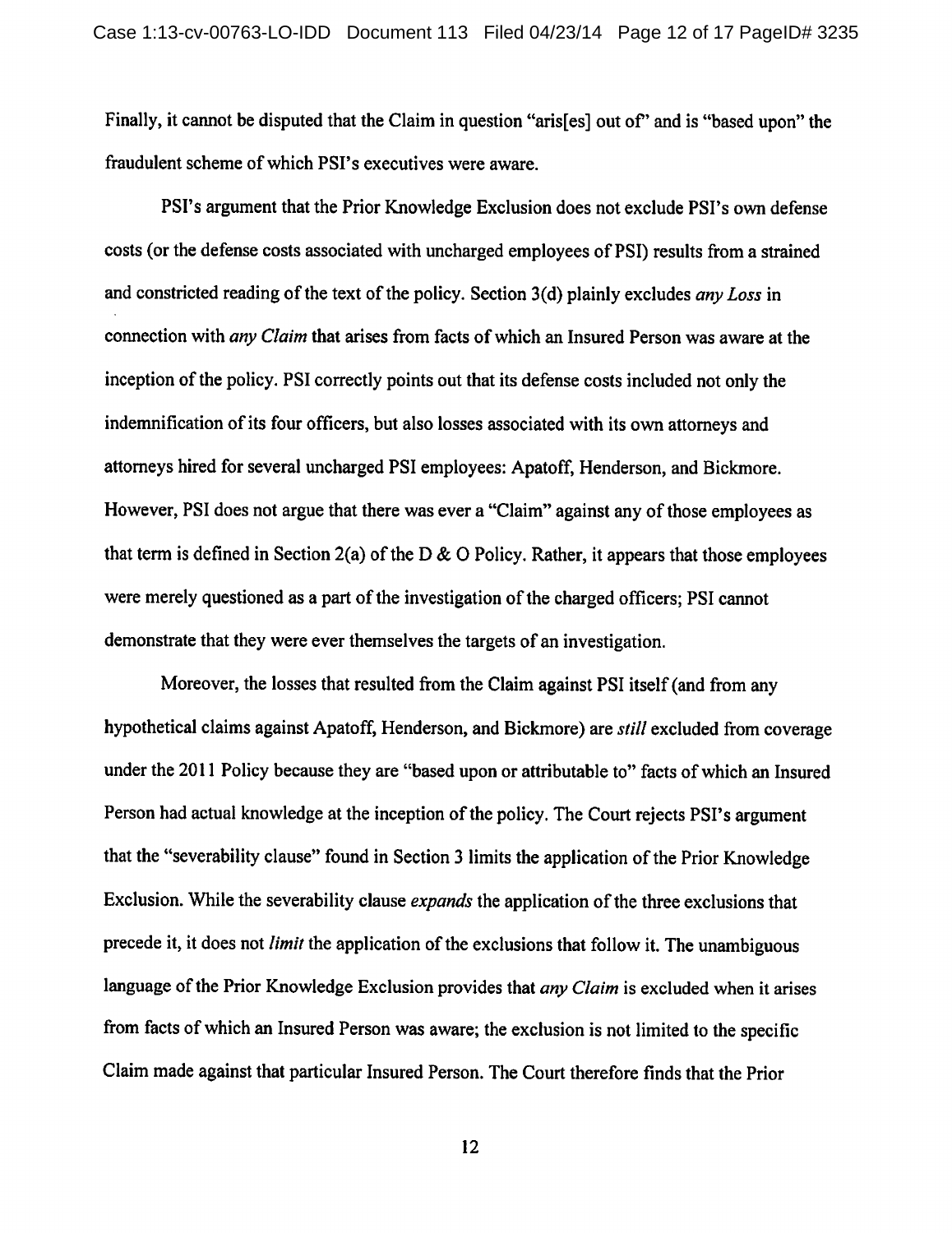Finally, it cannot be disputed that the Claim in question "aris[es] out of" and is "based upon" the fraudulent scheme of which PSI's executives were aware.

PSI's argument that the Prior Knowledge Exclusion does not exclude PSI's own defense costs (or the defense costs associated with uncharged employees of PSI) results from a strained and constricted reading of the text of the policy. Section 3(d) plainly excludes any Loss in connection with *any Claim* that arises from facts of which an Insured Person was aware at the inception of the policy. PSI correctly points out that its defense costs included not only the indemnification of its four officers, but also losses associated with its own attorneys and attorneys hired for several uncharged PSI employees: Apatoff, Henderson, and Bickmore. However, PSI does not argue that there was ever a "Claim" against any of those employees as that term is defined in Section 2(a) of the D & O Policy. Rather, it appears that those employees were merely questioned as a part of the investigation of the charged officers; PSI cannot demonstrate that they were ever themselves the targets of an investigation.

Moreover, the losses that resulted from the Claim against PSI itself (and from any hypothetical claims against Apatoff, Henderson, and Bickmore) are *still* excluded from coverage under the 2011 Policy because they are "based upon or attributable to" facts of which an Insured Person had actual knowledge at the inception of the policy. The Court rejects PSI's argument that the "severability clause" found in Section 3 limits the application of the Prior Knowledge Exclusion. While the severability clause expands the application of the three exclusions that precede it, it does not *limit* the application of the exclusions that follow it. The unambiguous language of the Prior Knowledge Exclusion provides that *any Claim* is excluded when it arises from facts of which an Insured Person was aware; the exclusion is not limited to the specific Claim made against that particular Insured Person. The Court therefore finds that the Prior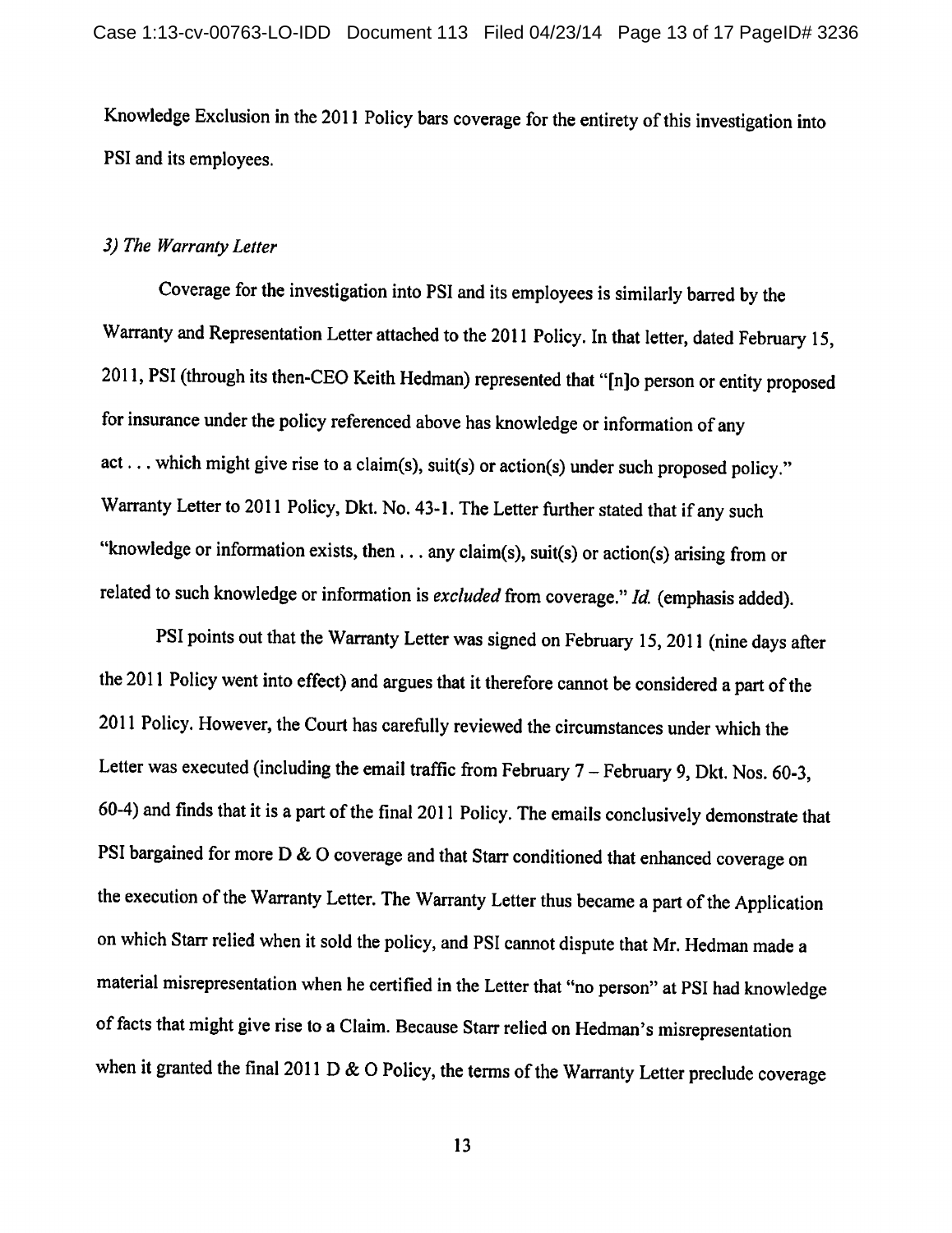Knowledge Exclusion in the 2011 Policy bars coverage for the entirety of this investigation into PSI and its employees.

### 3) The Warranty Letter

Coverage for the investigation into PSI and its employees is similarly barred by the Warranty and Representation Letter attached to the 2011 Policy. In that letter, dated February 15, 2011, PSI (through its then-CEO Keith Hedman) represented that "[n]o person or entity proposed for insurance under the policy referenced above has knowledge or information of any act... which might give rise to a claim(s), suit(s) or action(s) under such proposed policy." Warranty Letter to 2011 Policy, Dkt. No. 43-1. The Letter further stated that if any such "knowledge or information exists, then . . . any claim(s), suit(s) or action(s) arising from or related to such knowledge or information is excluded from coverage." Id. (emphasis added).

PSI points out that the Warranty Letter was signed on February 15, 2011 (nine days after the 2011 Policy went into effect) and argues that it therefore cannot be considered a part of the 2011 Policy. However, the Court has carefully reviewed the circumstances under which the Letter was executed (including the email traffic from February  $7 -$  February 9, Dkt. Nos. 60-3, 60-4) and finds that it is a part of the final 2011 Policy. The emails conclusively demonstrate that PSI bargained for more D & O coverage and that Starr conditioned that enhanced coverage on the execution of the Warranty Letter. The Warranty Letter thus became a part of the Application on which Starr relied when it sold the policy, and PSI cannot dispute that Mr. Hedman made a material misrepresentation when he certified in the Letter that "no person" at PSI had knowledge of facts that might give rise to a Claim. Because Starr relied on Hedman's misrepresentation when it granted the final 2011 D & O Policy, the terms of the Warranty Letter preclude coverage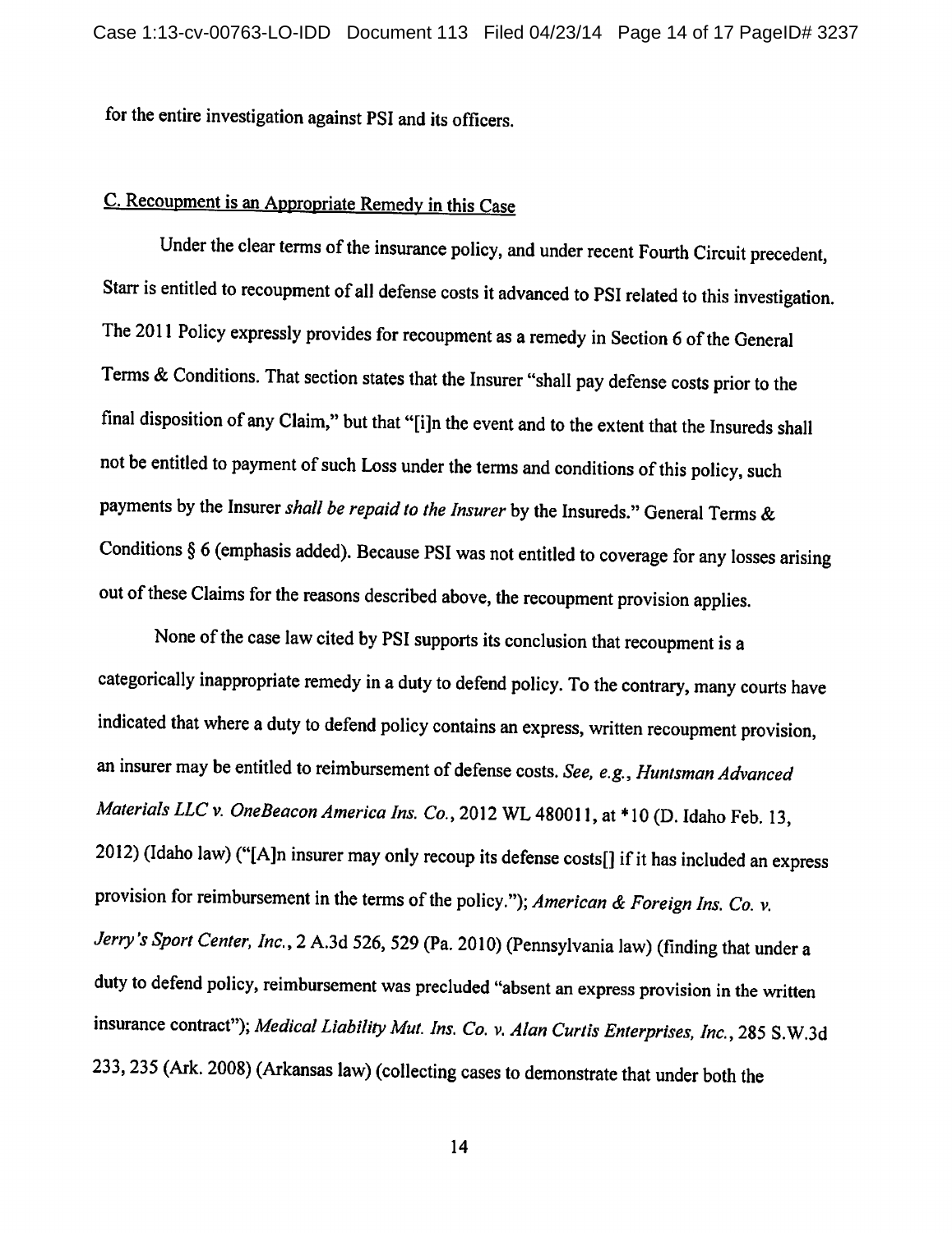for the entire investigation against PSI and its officers.

# C. Recoupment is an Appropriate Remedy in this Case

Under the clear terms of the insurance policy, and under recent Fourth Circuit precedent, Starr is entitled to recoupment of all defense costs it advanced to PSI related to this investigation. The 2011 Policy expressly provides for recoupment as a remedy in Section 6 of the General Terms & Conditions. That section states that the Insurer "shall pay defense costs prior to the final disposition of any Claim," but that "[i]n the event and to the extent that the Insureds shall not be entitled to payment of such Loss under the terms and conditions of this policy, such payments by the Insurer shall be repaid to the Insurer by the Insureds." General Terms & Conditions  $\S$  6 (emphasis added). Because PSI was not entitled to coverage for any losses arising out of these Claims for the reasons described above, the recoupment provision applies.

None of the case law cited by PSI supports its conclusion that recoupment is a categorically inappropriate remedy in a duty to defend policy. To the contrary, many courts have indicated that where a duty to defend policy contains an express, written recoupment provision, an insurer may be entitled to reimbursement of defense costs. See, e.g., Huntsman Advanced Materials LLC v. OneBeacon America Ins. Co., 2012 WL 480011, at \*10 (D. Idaho Feb. 13, 2012) (Idaho law) ("[A]n insurer may only recoup its defense costs[] if it has included an express provision for reimbursement in the terms of the policy."); American & Foreign Ins. Co. v. Jerry's Sport Center, Inc., 2 A.3d 526, 529 (Pa. 2010) (Pennsylvania law) (finding that under a duty to defend policy, reimbursement was precluded "absent an express provision in the written insurance contract"); Medical Liability Mut. Ins. Co. v. Alan Curtis Enterprises, Inc., 285 S.W.3d 233, 235 (Ark. 2008) (Arkansas law) (collecting cases to demonstrate that under both the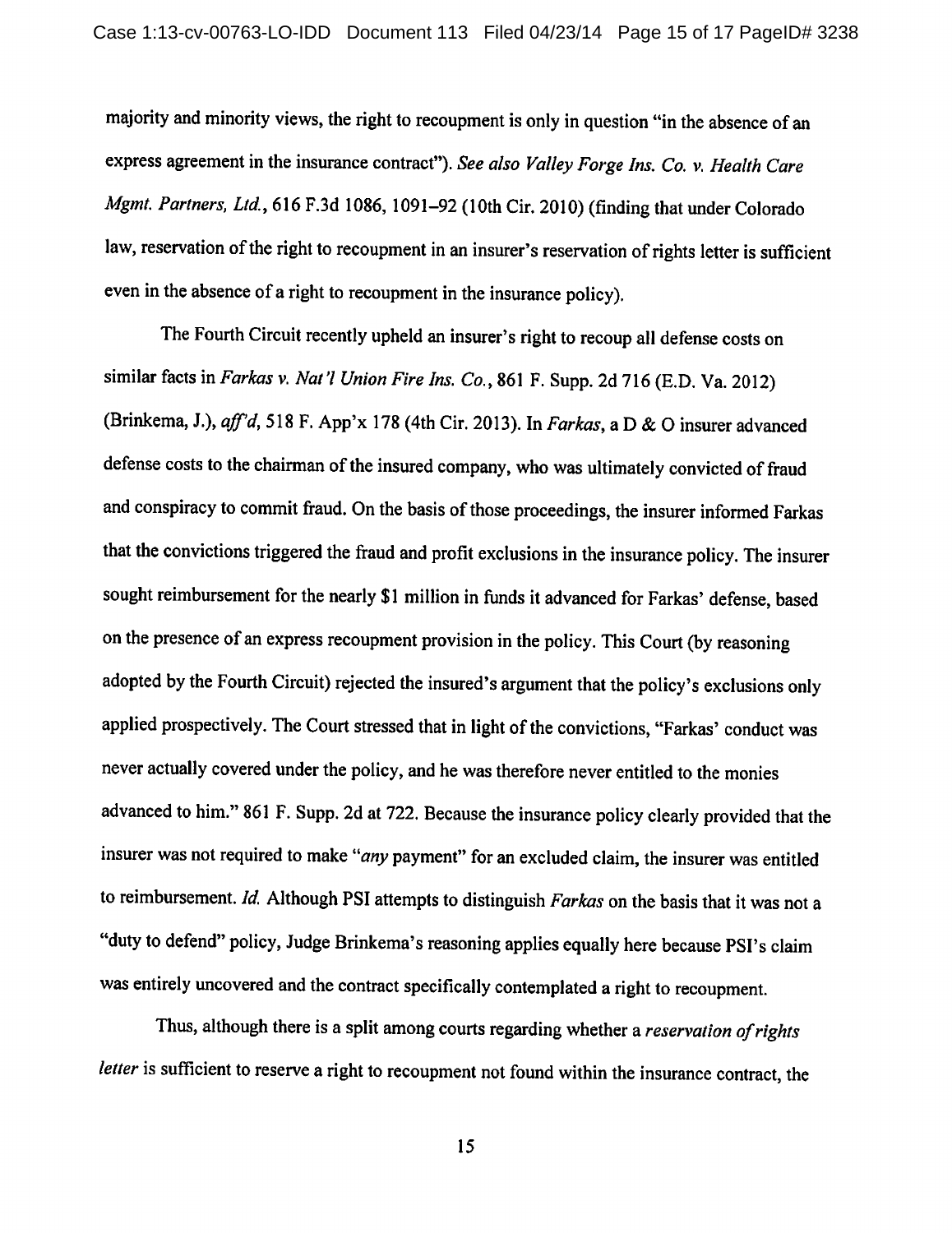majority and minority views, the right to recoupment is only in question "in the absence of an express agreement in the insurance contract"). See also Valley Forge Ins. Co. v. Health Care Mgmt. Partners, Ltd., 616 F.3d 1086, 1091-92 (10th Cir. 2010) (finding that under Colorado law, reservation of the right to recoupment in an insurer's reservation of rights letter is sufficient even in the absence of a right to recoupment in the insurance policy).

The Fourth Circuit recently upheld an insurer's right to recoup all defense costs on similar facts in Farkas v. Nat'l Union Fire Ins. Co., 861 F. Supp. 2d 716 (E.D. Va. 2012) (Brinkema, J.), aff'd, 518 F. App'x 178 (4th Cir. 2013). In Farkas, a D & O insurer advanced defense costs to the chairman of the insured company, who was ultimately convicted of fraud and conspiracy to commit fraud. On the basis of those proceedings, the insurer informed Farkas that the convictions triggered the fraud and profit exclusions in the insurance policy. The insurer sought reimbursement for the nearly \$1 million in funds it advanced for Farkas' defense, based on the presence of an express recoupment provision in the policy. This Court (by reasoning adopted by the Fourth Circuit) rejected the insured's argument that the policy's exclusions only applied prospectively. The Court stressed that in light of the convictions, "Farkas' conduct was never actually covered under the policy, and he was therefore never entitled to the monies advanced to him." 861 F. Supp. 2d at 722. Because the insurance policy clearly provided that the insurer was not required to make "any payment" for an excluded claim, the insurer was entitled to reimbursement. Id. Although PSI attempts to distinguish Farkas on the basis that it was not a "duty to defend" policy, Judge Brinkema's reasoning applies equally here because PSI's claim was entirely uncovered and the contract specifically contemplated a right to recoupment.

Thus, although there is a split among courts regarding whether a reservation of rights letter is sufficient to reserve a right to recoupment not found within the insurance contract, the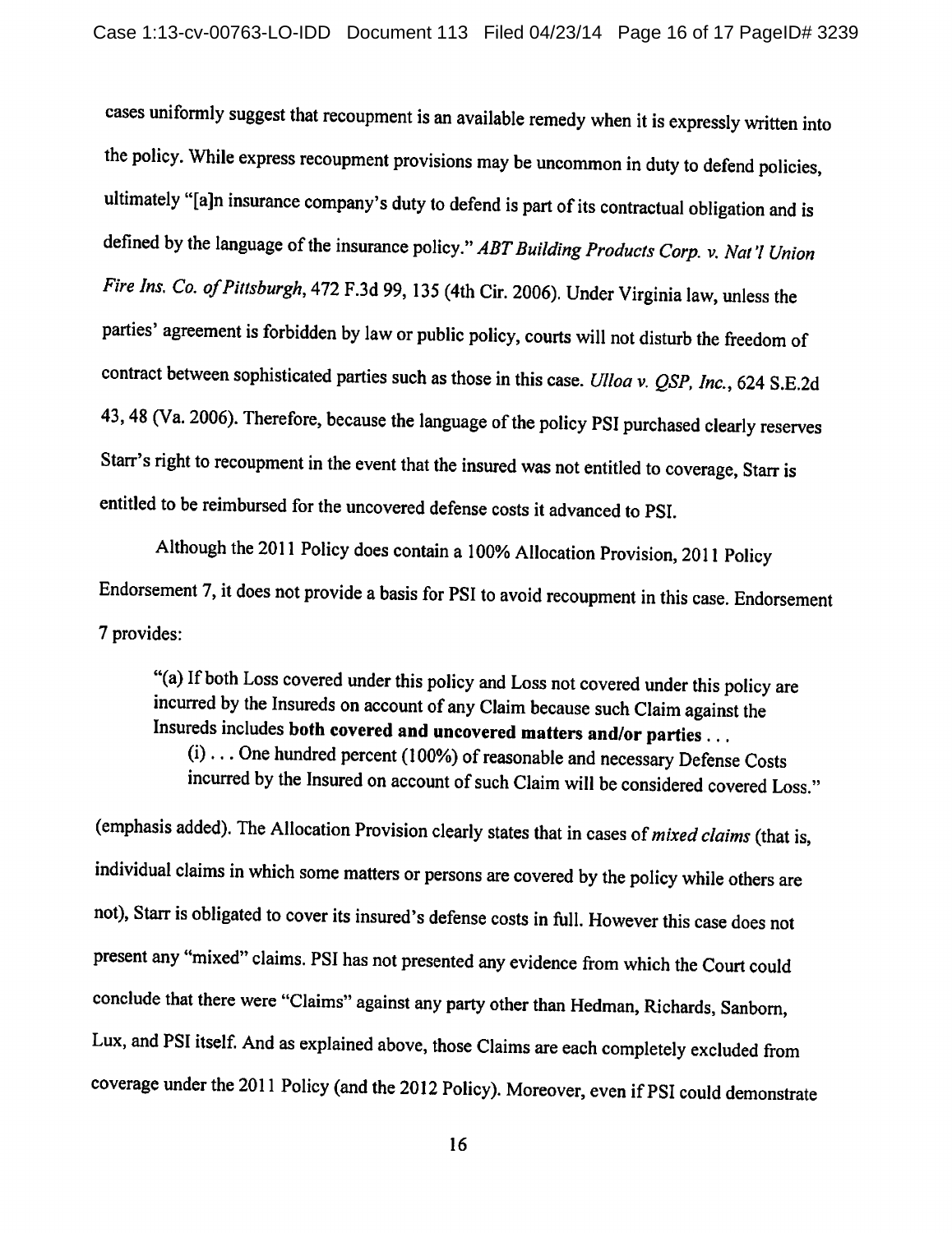cases uniformly suggest that recoupment is an available remedy when it is expressly written into the policy. While express recoupment provisions may be uncommon in duty to defend policies, ultimately "[a]n insurance company's duty to defend is part of its contractual obligation and is defined by the language of the insurance policy." ABT Building Products Corp. v. Nat'l Union Fire Ins. Co. of Pittsburgh, 472 F.3d 99, 135 (4th Cir. 2006). Under Virginia law, unless the parties' agreement is forbidden by law or public policy, courts will not disturb the freedom of contract between sophisticated parties such as those in this case. Ulloa v. QSP, Inc., 624 S.E.2d 43, 48 (Va. 2006). Therefore, because the language of the policy PSI purchased clearly reserves Starr's right to recoupment in the event that the insured was not entitled to coverage, Starr is entitled to be reimbursed for the uncovered defense costs it advanced to PSI.

Although the 2011 Policy does contain a 100% Allocation Provision, 2011 Policy Endorsement 7, it does not provide a basis for PSI to avoid recoupment in this case. Endorsement 7 provides:

"(a) If both Loss covered under this policy and Loss not covered under this policy are incurred by the Insureds on account of any Claim because such Claim against the Insureds includes both covered and uncovered matters and/or parties ... (i) ... One hundred percent (100%) of reasonable and necessary Defense Costs incurred by the Insured on account of such Claim will be considered covered Loss."

(emphasis added). The Allocation Provision clearly states that in cases of mixed claims (that is, individual claims in which some matters or persons are covered by the policy while others are not), Starr is obligated to cover its insured's defense costs in full. However this case does not present any "mixed" claims. PSI has not presented any evidence from which the Court could conclude that there were "Claims" against any party other than Hedman, Richards, Sanborn, Lux, and PSI itself. And as explained above, those Claims are each completely excluded from coverage under the 2011 Policy (and the 2012 Policy). Moreover, even if PSI could demonstrate